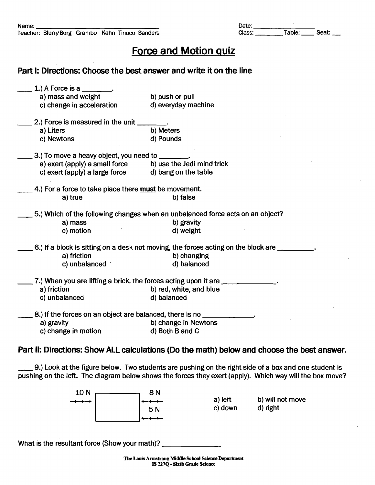## Force and Motion quiz

## Part I: Directions: Choose the best answer and write it on the line

| 1.) A Force is a $\overline{\phantom{a}}$                     |                                                                                    |
|---------------------------------------------------------------|------------------------------------------------------------------------------------|
| a) mass and weight                                            | b) push or pull                                                                    |
| c) change in acceleration                                     | d) everyday machine                                                                |
| 2.) Force is measured in the unit                             |                                                                                    |
| a) Liters                                                     | b) Meters                                                                          |
| c) Newtons                                                    | d) Pounds                                                                          |
| 3.) To move a heavy object, you need to _                     |                                                                                    |
| a) exert (apply) a small force                                | b) use the Jedi mind trick                                                         |
| c) exert (apply) a large force                                | d) bang on the table                                                               |
| 4.) For a force to take place there must be movement.         |                                                                                    |
| a) true                                                       | b) false                                                                           |
|                                                               |                                                                                    |
|                                                               | 5.) Which of the following changes when an unbalanced force acts on an object?     |
| a) mass                                                       | b) gravity                                                                         |
| c) motion                                                     | d) weight                                                                          |
|                                                               | 6.) If a block is sitting on a desk not moving, the forces acting on the block are |
| a) friction                                                   | b) changing                                                                        |
| c) unbalanced                                                 | d) balanced                                                                        |
|                                                               | 7.) When you are lifting a brick, the forces acting upon it are ________________   |
| a) friction                                                   | b) red, white, and blue                                                            |
| c) unbalanced                                                 | d) balanced                                                                        |
| 8.) If the forces on an object are balanced, there is no ____ |                                                                                    |
| a) gravity                                                    |                                                                                    |
|                                                               | b) change in Newtons                                                               |

## Part II: Directions: Show ALL calculations (Do the math) below and choose the best answer.

\_ 9.) Look at the figure below. Two students are pushing on the right side of a boxand one student is pushing on the left. The diagram below shows the forces they exert (apply). Which way will the box move?



What is the resultant force (Show your math)? \_\_\_\_\_\_\_\_\_